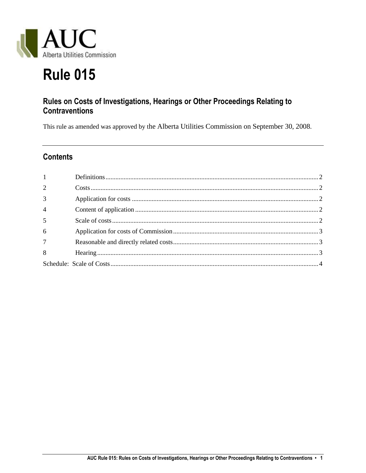

# **Rule 015**

# Rules on Costs of Investigations, Hearings or Other Proceedings Relating to **Contraventions**

This rule as amended was approved by the Alberta Utilities Commission on September 30, 2008.

# **Contents**

| $1 \qquad \qquad$ |  |
|-------------------|--|
| $\overline{2}$    |  |
| $\overline{3}$    |  |
| $\overline{4}$    |  |
| $\overline{5}$    |  |
| $6\overline{6}$   |  |
| $7\overline{ }$   |  |
| 8                 |  |
|                   |  |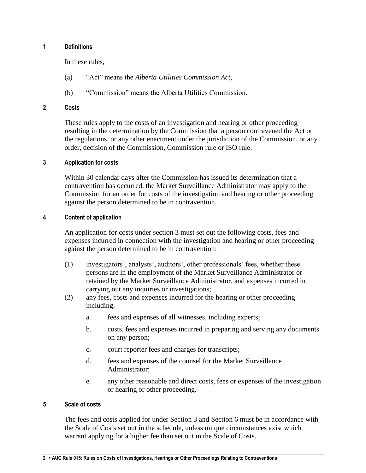## <span id="page-1-0"></span>**1 Definitions**

In these rules,

- (a) "Act" means the *Alberta Utilities Commission Act*,
- (b) "Commission" means the Alberta Utilities Commission.

#### <span id="page-1-1"></span>**2 Costs**

These rules apply to the costs of an investigation and hearing or other proceeding resulting in the determination by the Commission that a person contravened the Act or the regulations, or any other enactment under the jurisdiction of the Commission, or any order, decision of the Commission, Commission rule or ISO rule.

# <span id="page-1-2"></span>**3 Application for costs**

Within 30 calendar days after the Commission has issued its determination that a contravention has occurred, the Market Surveillance Administrator may apply to the Commission for an order for costs of the investigation and hearing or other proceeding against the person determined to be in contravention.

#### <span id="page-1-3"></span>**4 Content of application**

An application for costs under section 3 must set out the following costs, fees and expenses incurred in connection with the investigation and hearing or other proceeding against the person determined to be in contravention:

- (1) investigators', analysts', auditors', other professionals' fees, whether these persons are in the employment of the Market Surveillance Administrator or retained by the Market Surveillance Administrator, and expenses incurred in carrying out any inquiries or investigations;
- (2) any fees, costs and expenses incurred for the hearing or other proceeding including:
	- a. fees and expenses of all witnesses, including experts;
	- b. costs, fees and expenses incurred in preparing and serving any documents on any person;
	- c. court reporter fees and charges for transcripts;
	- d. fees and expenses of the counsel for the Market Surveillance Administrator;
	- e. any other reasonable and direct costs, fees or expenses of the investigation or hearing or other proceeding.

# <span id="page-1-4"></span>**5 Scale of costs**

The fees and costs applied for under Section 3 and Section 6 must be in accordance with the Scale of Costs set out in the schedule, unless unique circumstances exist which warrant applying for a higher fee than set out in the Scale of Costs.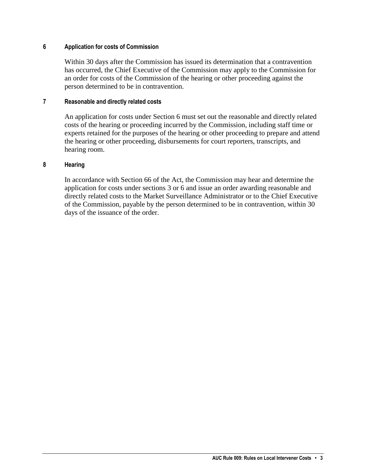# <span id="page-2-0"></span>**6 Application for costs of Commission**

Within 30 days after the Commission has issued its determination that a contravention has occurred, the Chief Executive of the Commission may apply to the Commission for an order for costs of the Commission of the hearing or other proceeding against the person determined to be in contravention.

#### <span id="page-2-1"></span>**7 Reasonable and directly related costs**

An application for costs under Section 6 must set out the reasonable and directly related costs of the hearing or proceeding incurred by the Commission, including staff time or experts retained for the purposes of the hearing or other proceeding to prepare and attend the hearing or other proceeding, disbursements for court reporters, transcripts, and hearing room.

#### <span id="page-2-2"></span>**8 Hearing**

In accordance with Section 66 of the Act, the Commission may hear and determine the application for costs under sections 3 or 6 and issue an order awarding reasonable and directly related costs to the Market Surveillance Administrator or to the Chief Executive of the Commission, payable by the person determined to be in contravention, within 30 days of the issuance of the order.